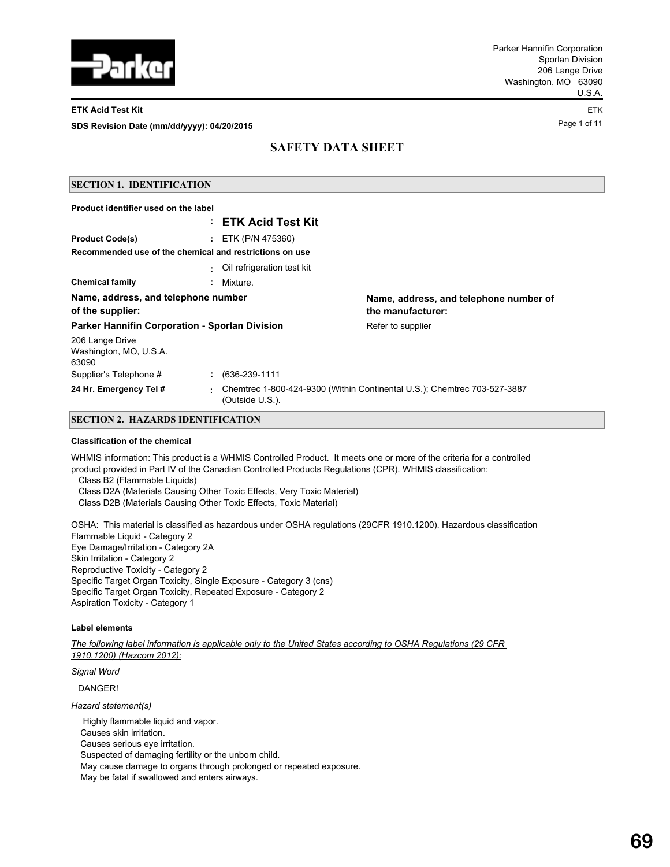

### **ETK Acid Test Kit** ETK

Page 1 of 11 **SDS Revision Date (mm/dd/yyyy): 04/20/2015**

# **SAFETY DATA SHEET**

| <b>SECTION 1. IDENTIFICATION</b>                        |    |                              |                                                                          |
|---------------------------------------------------------|----|------------------------------|--------------------------------------------------------------------------|
| Product identifier used on the label                    |    |                              |                                                                          |
|                                                         |    | : ETK Acid Test Kit          |                                                                          |
| <b>Product Code(s)</b>                                  |    | : ETK (P/N 475360)           |                                                                          |
| Recommended use of the chemical and restrictions on use |    |                              |                                                                          |
|                                                         |    | : Oil refrigeration test kit |                                                                          |
| <b>Chemical family</b>                                  | ÷. | Mixture.                     |                                                                          |
| Name, address, and telephone number                     |    |                              | Name, address, and telephone number of                                   |
| of the supplier:                                        |    |                              | the manufacturer:                                                        |
| Parker Hannifin Corporation - Sporlan Division          |    |                              | Refer to supplier                                                        |
| 206 Lange Drive<br>Washington, MO, U.S.A.<br>63090      |    |                              |                                                                          |
| Supplier's Telephone #                                  |    | $: 636-239-1111$             |                                                                          |
| 24 Hr. Emergency Tel #                                  | ٠  | (Outside U.S.).              | Chemtrec 1-800-424-9300 (Within Continental U.S.); Chemtrec 703-527-3887 |

## **SECTION 2. HAZARDS IDENTIFICATION**

### **Classification of the chemical**

WHMIS information: This product is a WHMIS Controlled Product. It meets one or more of the criteria for a controlled product provided in Part IV of the Canadian Controlled Products Regulations (CPR). WHMIS classification:

Class B2 (Flammable Liquids)

Class D2A (Materials Causing Other Toxic Effects, Very Toxic Material)

Class D2B (Materials Causing Other Toxic Effects, Toxic Material)

OSHA: This material is classified as hazardous under OSHA regulations (29CFR 1910.1200). Hazardous classification Flammable Liquid - Category 2 Eye Damage/Irritation - Category 2A Skin Irritation - Category 2 Reproductive Toxicity - Category 2 Specific Target Organ Toxicity, Single Exposure - Category 3 (cns) Specific Target Organ Toxicity, Repeated Exposure - Category 2 Aspiration Toxicity - Category 1

## **Label elements**

*The following label information is applicable only to the United States according to OSHA Regulations (29 CFR 1910.1200) (Hazcom 2012):*

*Signal Word*

DANGER!

*Hazard statement(s)*

 Highly flammable liquid and vapor. Causes skin irritation. Causes serious eye irritation. Suspected of damaging fertility or the unborn child. May cause damage to organs through prolonged or repeated exposure. May be fatal if swallowed and enters airways.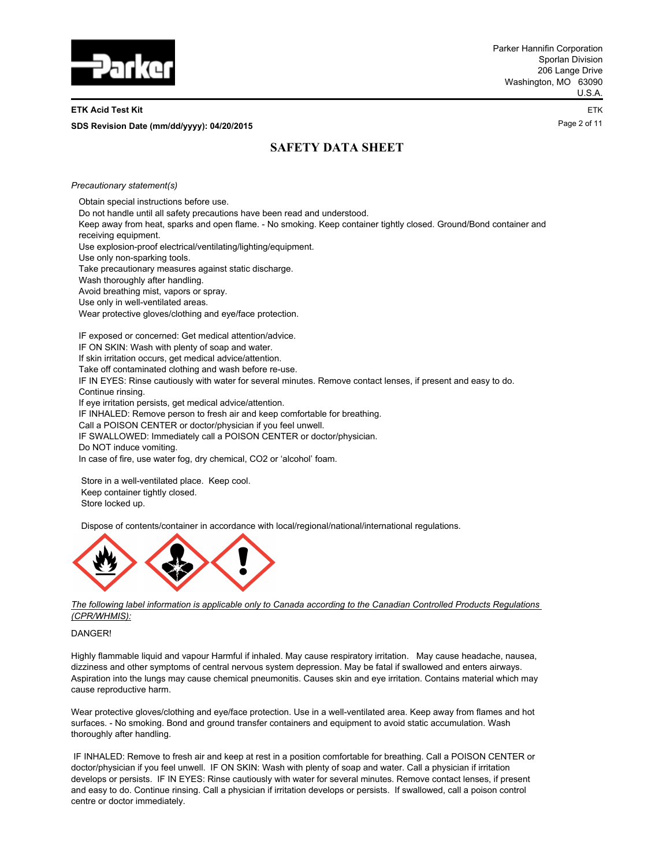

#### **ETK Acid Test Kit** ETK

**Page 2 of 11 <b>SDS Revision Date (mm/dd/yyyy): 04/20/2015 SDS Revision Date (mm/dd/yyyy): 04/20/2015** 

# **SAFETY DATA SHEET**

*Precautionary statement(s)*

Obtain special instructions before use.

Do not handle until all safety precautions have been read and understood.

Keep away from heat, sparks and open flame. - No smoking. Keep container tightly closed. Ground/Bond container and receiving equipment.

Use explosion-proof electrical/ventilating/lighting/equipment.

Use only non-sparking tools.

Take precautionary measures against static discharge.

Wash thoroughly after handling.

Avoid breathing mist, vapors or spray.

Use only in well-ventilated areas.

Wear protective gloves/clothing and eye/face protection.

IF exposed or concerned: Get medical attention/advice. IF ON SKIN: Wash with plenty of soap and water.

If skin irritation occurs, get medical advice/attention.

Take off contaminated clothing and wash before re-use.

IF IN EYES: Rinse cautiously with water for several minutes. Remove contact lenses, if present and easy to do. Continue rinsing.

If eye irritation persists, get medical advice/attention.

IF INHALED: Remove person to fresh air and keep comfortable for breathing.

Call a POISON CENTER or doctor/physician if you feel unwell.

IF SWALLOWED: Immediately call a POISON CENTER or doctor/physician.

Do NOT induce vomiting.

In case of fire, use water fog, dry chemical, CO2 or 'alcohol' foam.

 Store in a well-ventilated place. Keep cool. Keep container tightly closed. Store locked up.

Dispose of contents/container in accordance with local/regional/national/international regulations.



*The following label information is applicable only to Canada according to the Canadian Controlled Products Regulations (CPR/WHMIS):*

DANGER!

Highly flammable liquid and vapour Harmful if inhaled. May cause respiratory irritation. May cause headache, nausea, dizziness and other symptoms of central nervous system depression. May be fatal if swallowed and enters airways. Aspiration into the lungs may cause chemical pneumonitis. Causes skin and eye irritation. Contains material which may cause reproductive harm.

Wear protective gloves/clothing and eye/face protection. Use in a well-ventilated area. Keep away from flames and hot surfaces. - No smoking. Bond and ground transfer containers and equipment to avoid static accumulation. Wash thoroughly after handling.

 IF INHALED: Remove to fresh air and keep at rest in a position comfortable for breathing. Call a POISON CENTER or doctor/physician if you feel unwell. IF ON SKIN: Wash with plenty of soap and water. Call a physician if irritation develops or persists. IF IN EYES: Rinse cautiously with water for several minutes. Remove contact lenses, if present and easy to do. Continue rinsing. Call a physician if irritation develops or persists. If swallowed, call a poison control centre or doctor immediately.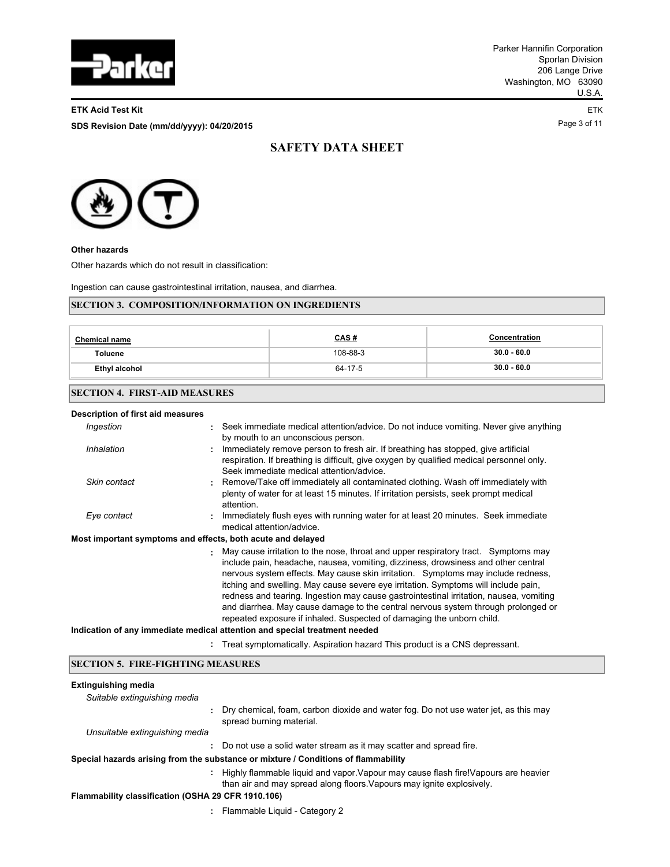

#### **ETK Acid Test Kit** ETK

Page 3 of 11 **SDS Revision Date (mm/dd/yyyy): 04/20/2015**

# **SAFETY DATA SHEET**



**Other hazards**

Other hazards which do not result in classification:

Ingestion can cause gastrointestinal irritation, nausea, and diarrhea.

## **SECTION 3. COMPOSITION/INFORMATION ON INGREDIENTS**

| <b>Chemical name</b> | <u>CAS#</u> | Concentration |
|----------------------|-------------|---------------|
| <b>Toluene</b>       | 108-88-3    | $30.0 - 60.0$ |
| Ethyl alcohol        | 64-17-5     | $30.0 - 60.0$ |

## **SECTION 4. FIRST-AID MEASURES**

| Description of first aid measures                           |    |                                                                                                                                                                                                                                                                                                                                                                                                                                                                                                                                                                                                                                                                                         |  |  |
|-------------------------------------------------------------|----|-----------------------------------------------------------------------------------------------------------------------------------------------------------------------------------------------------------------------------------------------------------------------------------------------------------------------------------------------------------------------------------------------------------------------------------------------------------------------------------------------------------------------------------------------------------------------------------------------------------------------------------------------------------------------------------------|--|--|
| Ingestion                                                   |    | Seek immediate medical attention/advice. Do not induce vomiting. Never give anything<br>by mouth to an unconscious person.                                                                                                                                                                                                                                                                                                                                                                                                                                                                                                                                                              |  |  |
| Inhalation                                                  | ÷. | Immediately remove person to fresh air. If breathing has stopped, give artificial<br>respiration. If breathing is difficult, give oxygen by qualified medical personnel only.<br>Seek immediate medical attention/advice.                                                                                                                                                                                                                                                                                                                                                                                                                                                               |  |  |
| Skin contact                                                |    | : Remove/Take off immediately all contaminated clothing. Wash off immediately with<br>plenty of water for at least 15 minutes. If irritation persists, seek prompt medical<br>attention.                                                                                                                                                                                                                                                                                                                                                                                                                                                                                                |  |  |
| Eye contact                                                 |    | : Immediately flush eyes with running water for at least 20 minutes. Seek immediate<br>medical attention/advice.                                                                                                                                                                                                                                                                                                                                                                                                                                                                                                                                                                        |  |  |
| Most important symptoms and effects, both acute and delayed |    |                                                                                                                                                                                                                                                                                                                                                                                                                                                                                                                                                                                                                                                                                         |  |  |
|                                                             |    | May cause irritation to the nose, throat and upper respiratory tract. Symptoms may<br>include pain, headache, nausea, vomiting, dizziness, drowsiness and other central<br>nervous system effects. May cause skin irritation. Symptoms may include redness,<br>itching and swelling. May cause severe eye irritation. Symptoms will include pain,<br>redness and tearing. Ingestion may cause gastrointestinal irritation, nausea, vomiting<br>and diarrhea. May cause damage to the central nervous system through prolonged or<br>repeated exposure if inhaled. Suspected of damaging the unborn child.<br>Indication of any immediate medical attention and special treatment needed |  |  |
|                                                             |    | Treat symptomatically. Aspiration hazard This product is a CNS depressant.                                                                                                                                                                                                                                                                                                                                                                                                                                                                                                                                                                                                              |  |  |
|                                                             |    |                                                                                                                                                                                                                                                                                                                                                                                                                                                                                                                                                                                                                                                                                         |  |  |

## **SECTION 5. FIRE-FIGHTING MEASURES**

## **Extinguishing media** *Suitable extinguishing media*

| : Highly flammable liquid and vapor. Vapour may cause flash fire! Vapours are heavier |
|---------------------------------------------------------------------------------------|
|                                                                                       |
|                                                                                       |
|                                                                                       |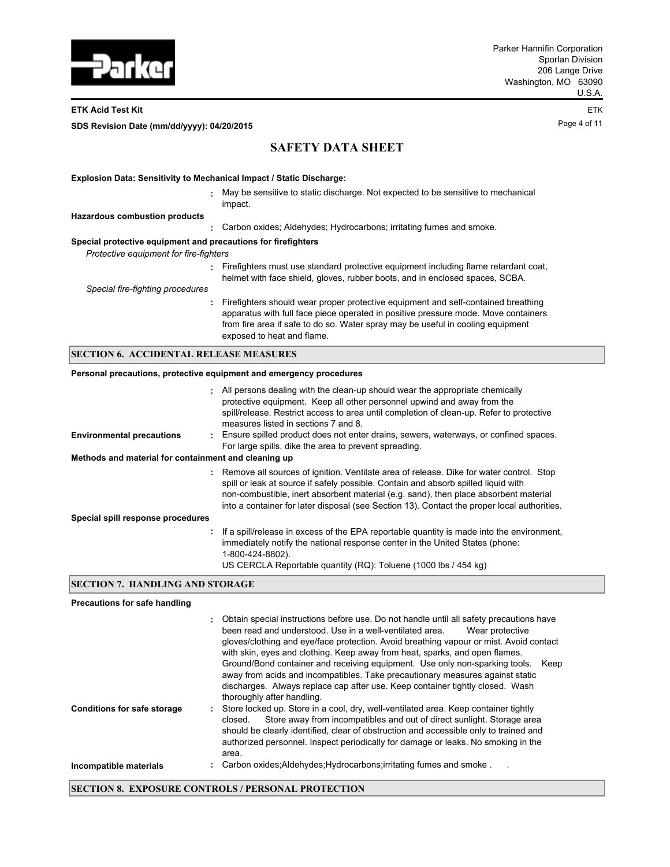

### **ETK Acid Test Kit** ETK

Page 4 of 11 **SDS Revision Date (mm/dd/yyyy): 04/20/2015**

# **SAFETY DATA SHEET**

| <b>Explosion Data: Sensitivity to Mechanical Impact / Static Discharge:</b>                             |                                                                                                                                                                                                                                                                                            |  |  |
|---------------------------------------------------------------------------------------------------------|--------------------------------------------------------------------------------------------------------------------------------------------------------------------------------------------------------------------------------------------------------------------------------------------|--|--|
| ÷.                                                                                                      | May be sensitive to static discharge. Not expected to be sensitive to mechanical<br>impact.                                                                                                                                                                                                |  |  |
| <b>Hazardous combustion products</b>                                                                    |                                                                                                                                                                                                                                                                                            |  |  |
|                                                                                                         | : Carbon oxides: Aldehydes: Hydrocarbons: irritating fumes and smoke.                                                                                                                                                                                                                      |  |  |
| Special protective equipment and precautions for firefighters<br>Protective equipment for fire-fighters |                                                                                                                                                                                                                                                                                            |  |  |
|                                                                                                         | : Firefighters must use standard protective equipment including flame retardant coat,<br>helmet with face shield, gloves, rubber boots, and in enclosed spaces, SCBA.                                                                                                                      |  |  |
| Special fire-fighting procedures                                                                        |                                                                                                                                                                                                                                                                                            |  |  |
|                                                                                                         | : Firefighters should wear proper protective equipment and self-contained breathing<br>apparatus with full face piece operated in positive pressure mode. Move containers<br>from fire area if safe to do so. Water spray may be useful in cooling equipment<br>exposed to heat and flame. |  |  |

## **SECTION 6. ACCIDENTAL RELEASE MEASURES**

## **Personal precautions, protective equipment and emergency procedures**

|                                                      | : All persons dealing with the clean-up should wear the appropriate chemically<br>protective equipment. Keep all other personnel upwind and away from the<br>spill/release. Restrict access to area until completion of clean-up. Refer to protective<br>measures listed in sections 7 and 8.                                                                        |
|------------------------------------------------------|----------------------------------------------------------------------------------------------------------------------------------------------------------------------------------------------------------------------------------------------------------------------------------------------------------------------------------------------------------------------|
| <b>Environmental precautions</b>                     | Ensure spilled product does not enter drains, sewers, waterways, or confined spaces.<br>For large spills, dike the area to prevent spreading.                                                                                                                                                                                                                        |
| Methods and material for containment and cleaning up |                                                                                                                                                                                                                                                                                                                                                                      |
|                                                      | Remove all sources of ignition. Ventilate area of release. Dike for water control. Stop<br>spill or leak at source if safely possible. Contain and absorb spilled liquid with<br>non-combustible, inert absorbent material (e.g. sand), then place absorbent material<br>into a container for later disposal (see Section 13). Contact the proper local authorities. |
| Special spill response procedures                    |                                                                                                                                                                                                                                                                                                                                                                      |
|                                                      | : If a spill/release in excess of the EPA reportable quantity is made into the environment,<br>immediately notify the national response center in the United States (phone:<br>1-800-424-8802).<br>US CERCLA Reportable quantity (RQ): Toluene (1000 lbs / 454 kg)                                                                                                   |

## **SECTION 7. HANDLING AND STORAGE**

#### **Precautions for safe handling**

|                                    | Obtain special instructions before use. Do not handle until all safety precautions have<br>been read and understood. Use in a well-ventilated area.<br>Wear protective<br>gloves/clothing and eye/face protection. Avoid breathing vapour or mist. Avoid contact<br>with skin, eyes and clothing. Keep away from heat, sparks, and open flames.<br>Ground/Bond container and receiving equipment. Use only non-sparking tools.<br>Keep<br>away from acids and incompatibles. Take precautionary measures against static<br>discharges. Always replace cap after use. Keep container tightly closed. Wash<br>thoroughly after handling. |
|------------------------------------|----------------------------------------------------------------------------------------------------------------------------------------------------------------------------------------------------------------------------------------------------------------------------------------------------------------------------------------------------------------------------------------------------------------------------------------------------------------------------------------------------------------------------------------------------------------------------------------------------------------------------------------|
| <b>Conditions for safe storage</b> | Store locked up. Store in a cool, dry, well-ventilated area. Keep container tightly<br>Store away from incompatibles and out of direct sunlight. Storage area<br>closed.<br>should be clearly identified, clear of obstruction and accessible only to trained and<br>authorized personnel. Inspect periodically for damage or leaks. No smoking in the<br>area.                                                                                                                                                                                                                                                                        |
| Incompatible materials             | Carbon oxides: Aldehydes: Hydrocarbons: irritating fumes and smoke.                                                                                                                                                                                                                                                                                                                                                                                                                                                                                                                                                                    |

## **SECTION 8. EXPOSURE CONTROLS / PERSONAL PROTECTION**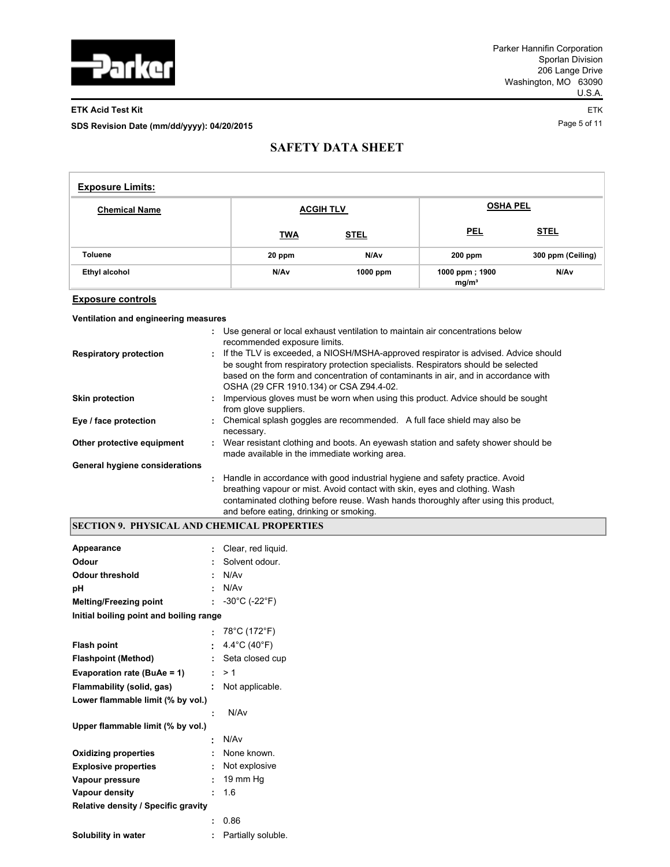

## **ETK Acid Test Kit** ETK

Page 5 of 11 **SDS Revision Date (mm/dd/yyyy): 04/20/2015**

# **SAFETY DATA SHEET**

| <b>Exposure Limits:</b> |            |                  |                                     |                   |
|-------------------------|------------|------------------|-------------------------------------|-------------------|
| <b>Chemical Name</b>    |            | <b>ACGIH TLV</b> | <b>OSHA PEL</b>                     |                   |
|                         | <b>TWA</b> | <u>STEL</u>      | <b>PEL</b>                          | <b>STEL</b>       |
| <b>Toluene</b>          | 20 ppm     | N/Av             | 200 ppm                             | 300 ppm (Ceiling) |
| Ethyl alcohol           | N/Av       | $1000$ ppm       | 1000 ppm; 1900<br>mg/m <sup>3</sup> | N/Av              |

### **Exposure controls**

## **Ventilation and engineering measures**

|                                |    | : Use general or local exhaust ventilation to maintain air concentrations below<br>recommended exposure limits.                                                                                                                                                                                          |
|--------------------------------|----|----------------------------------------------------------------------------------------------------------------------------------------------------------------------------------------------------------------------------------------------------------------------------------------------------------|
| <b>Respiratory protection</b>  | t. | If the TLV is exceeded, a NIOSH/MSHA-approved respirator is advised. Advice should<br>be sought from respiratory protection specialists. Respirators should be selected<br>based on the form and concentration of contaminants in air, and in accordance with<br>OSHA (29 CFR 1910.134) or CSA Z94.4-02. |
| <b>Skin protection</b>         |    | Impervious gloves must be worn when using this product. Advice should be sought<br>from glove suppliers.                                                                                                                                                                                                 |
| Eye / face protection          |    | Chemical splash goggles are recommended. A full face shield may also be<br>necessary.                                                                                                                                                                                                                    |
| Other protective equipment     | t. | Wear resistant clothing and boots. An eyewash station and safety shower should be<br>made available in the immediate working area.                                                                                                                                                                       |
| General hygiene considerations |    |                                                                                                                                                                                                                                                                                                          |
|                                |    | : Handle in accordance with good industrial hygiene and safety practice. Avoid<br>breathing vapour or mist. Avoid contact with skin, eyes and clothing. Wash<br>contaminated clothing before reuse. Wash hands thoroughly after using this product,<br>and before eating, drinking or smoking.           |

## **SECTION 9. PHYSICAL AND CHEMICAL PROPERTIES**

| Appearance                                 |        | Clear, red liquid.                   |
|--------------------------------------------|--------|--------------------------------------|
| Odour                                      |        | Solvent odour.                       |
| <b>Odour threshold</b>                     | ÷      | N/Av                                 |
| рH                                         | ٠      | N/Av                                 |
| <b>Melting/Freezing point</b>              |        | : $-30^{\circ}$ C (-22 $^{\circ}$ F) |
| Initial boiling point and boiling range    |        |                                      |
|                                            | к.     | 78°C (172°F)                         |
| <b>Flash point</b>                         | ÷.     | 4.4°C (40°F)                         |
| <b>Flashpoint (Method)</b>                 |        | : Seta closed cup                    |
| Evaporation rate (BuAe = 1)                |        | : > 1                                |
| Flammability (solid, gas)                  |        | : Not applicable.                    |
| Lower flammable limit (% by vol.)          |        |                                      |
|                                            | ٠      | N/Av                                 |
| Upper flammable limit (% by vol.)          |        |                                      |
|                                            | ŧ.     | N/Av                                 |
| <b>Oxidizing properties</b>                | $\sim$ | None known.                          |
| <b>Explosive properties</b>                |        | : Not explosive                      |
| Vapour pressure                            | ÷      | 19 mm Hg                             |
| Vapour density                             | ٠      | 1.6                                  |
| <b>Relative density / Specific gravity</b> |        |                                      |
|                                            | ٠      | 0.86                                 |
| Solubility in water                        | ŧ.     | Partially soluble.                   |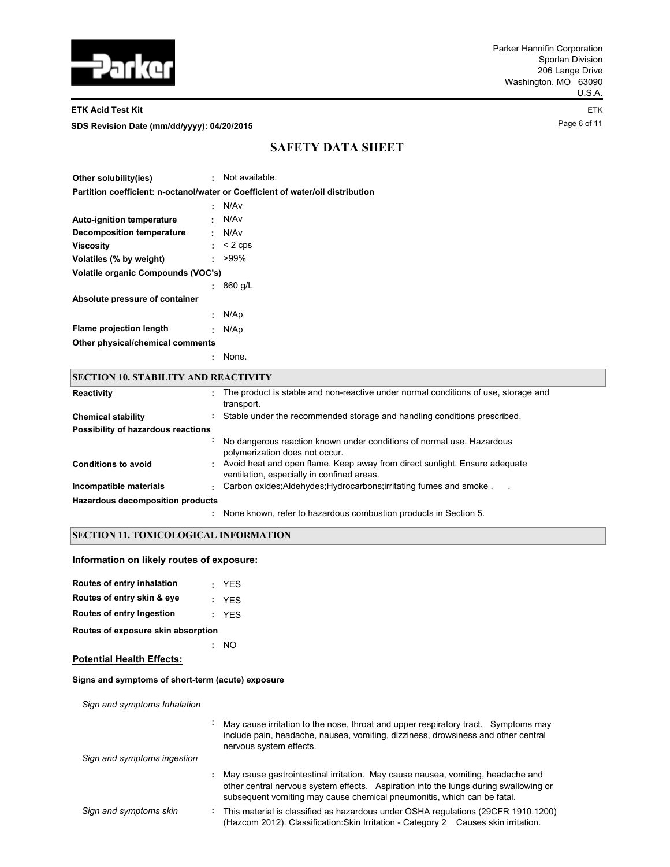

#### **ETK Acid Test Kit** ETK

Page 6 of 11 **SDS Revision Date (mm/dd/yyyy): 04/20/2015**

# **SAFETY DATA SHEET**

| Other solubility(ies)              | ÷. | Not available.                                                                  |
|------------------------------------|----|---------------------------------------------------------------------------------|
|                                    |    | Partition coefficient: n-octanol/water or Coefficient of water/oil distribution |
|                                    | ÷  | N/Av                                                                            |
| <b>Auto-ignition temperature</b>   | ٠  | N/Av                                                                            |
| Decomposition temperature          | ÷  | N/Av                                                                            |
| Viscositv                          | ÷. | $<$ 2 cps                                                                       |
| Volatiles (% by weight)            | ÷  | $>99\%$                                                                         |
| Volatile organic Compounds (VOC's) |    |                                                                                 |
|                                    | ÷  | 860 g/L                                                                         |
| Absolute pressure of container     |    |                                                                                 |
|                                    | t  | N/Ap                                                                            |
| <b>Flame projection length</b>     | t  | N/Ap                                                                            |
| Other physical/chemical comments   |    |                                                                                 |
|                                    |    | None.                                                                           |

## **SECTION 10. STABILITY AND REACTIVITY**

| Reactivity                         | The product is stable and non-reactive under normal conditions of use, storage and<br>÷.<br>transport.                         |
|------------------------------------|--------------------------------------------------------------------------------------------------------------------------------|
| <b>Chemical stability</b>          | Stable under the recommended storage and handling conditions prescribed.<br>÷.                                                 |
| Possibility of hazardous reactions |                                                                                                                                |
|                                    | No dangerous reaction known under conditions of normal use. Hazardous<br>polymerization does not occur.                        |
| <b>Conditions to avoid</b>         | Avoid heat and open flame. Keep away from direct sunlight. Ensure adequate<br>t.<br>ventilation, especially in confined areas. |
| Incompatible materials             | Carbon oxides: Aldehydes: Hydrocarbons: irritating fumes and smoke.<br>٠.                                                      |
| Hazardous decomposition products   |                                                                                                                                |
|                                    | None known, refer to hazardous combustion products in Section 5.                                                               |

## **SECTION 11. TOXICOLOGICAL INFORMATION**

## **Information on likely routes of exposure:**

| Routes of entry inhalation         |  | : YFS |  |  |  |  |  |
|------------------------------------|--|-------|--|--|--|--|--|
| Routes of entry skin & eye         |  | : YFS |  |  |  |  |  |
| Routes of entry Ingestion          |  | : YFS |  |  |  |  |  |
| Routes of exposure skin absorption |  |       |  |  |  |  |  |

**:** NO

## **Potential Health Effects:**

## **Signs and symptoms of short-term (acute) exposure**

*Sign and symptoms Inhalation*

|                             | $\blacksquare$ | May cause irritation to the nose, throat and upper respiratory tract. Symptoms may<br>include pain, headache, nausea, vomiting, dizziness, drowsiness and other central<br>nervous system effects.                                                 |
|-----------------------------|----------------|----------------------------------------------------------------------------------------------------------------------------------------------------------------------------------------------------------------------------------------------------|
| Sign and symptoms ingestion |                |                                                                                                                                                                                                                                                    |
|                             | ÷.             | May cause gastrointestinal irritation. May cause nausea, vomiting, headache and<br>other central nervous system effects. Aspiration into the lungs during swallowing or<br>subsequent vomiting may cause chemical pneumonitis, which can be fatal. |
| Sign and symptoms skin      |                | This material is classified as hazardous under OSHA regulations (29CFR 1910.1200)<br>(Hazcom 2012). Classification: Skin Irritation - Category 2 Causes skin irritation.                                                                           |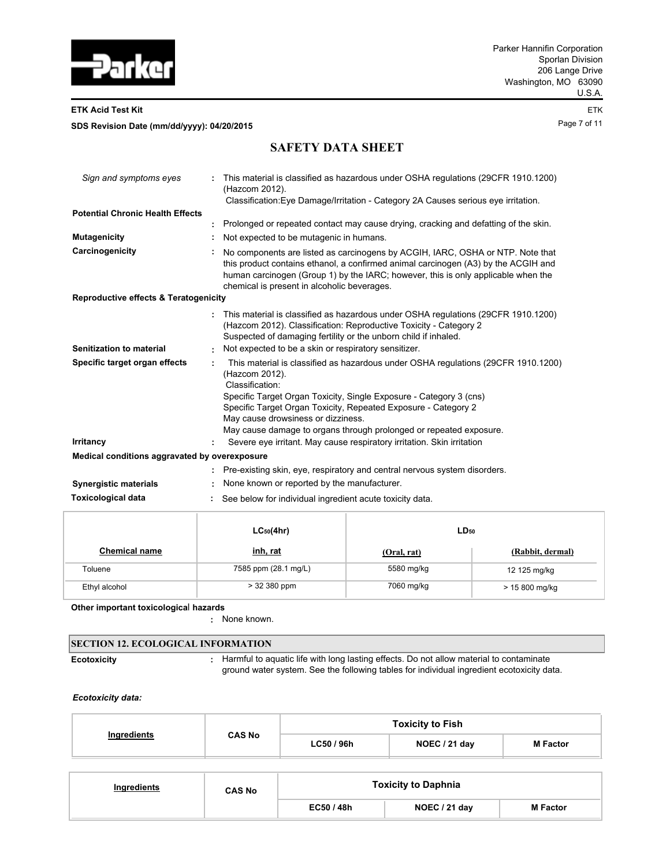

**ETK Acid Test Kit** ETK

Page 7 of 11 **SDS Revision Date (mm/dd/yyyy): 04/20/2015**

# **SAFETY DATA SHEET**

| Sign and symptoms eyes                           |   | This material is classified as hazardous under OSHA regulations (29CFR 1910.1200)<br>(Hazcom 2012).                                                                                                                                                                                                      |
|--------------------------------------------------|---|----------------------------------------------------------------------------------------------------------------------------------------------------------------------------------------------------------------------------------------------------------------------------------------------------------|
|                                                  |   | Classification: Eye Damage/Irritation - Category 2A Causes serious eye irritation.                                                                                                                                                                                                                       |
| <b>Potential Chronic Health Effects</b>          |   |                                                                                                                                                                                                                                                                                                          |
|                                                  |   | Prolonged or repeated contact may cause drying, cracking and defatting of the skin.                                                                                                                                                                                                                      |
| <b>Mutagenicity</b>                              |   | Not expected to be mutagenic in humans.                                                                                                                                                                                                                                                                  |
| Carcinogenicity                                  |   | No components are listed as carcinogens by ACGIH, IARC, OSHA or NTP. Note that<br>this product contains ethanol, a confirmed animal carcinogen (A3) by the ACGIH and<br>human carcinogen (Group 1) by the IARC; however, this is only applicable when the<br>chemical is present in alcoholic beverages. |
| <b>Reproductive effects &amp; Teratogenicity</b> |   |                                                                                                                                                                                                                                                                                                          |
|                                                  |   | This material is classified as hazardous under OSHA regulations (29CFR 1910.1200)<br>(Hazcom 2012). Classification: Reproductive Toxicity - Category 2<br>Suspected of damaging fertility or the unborn child if inhaled.                                                                                |
| Senitization to material                         |   | Not expected to be a skin or respiratory sensitizer.                                                                                                                                                                                                                                                     |
| Specific target organ effects                    | ٠ | This material is classified as hazardous under OSHA regulations (29CFR 1910.1200)<br>(Hazcom 2012).<br>Classification:                                                                                                                                                                                   |
|                                                  |   | Specific Target Organ Toxicity, Single Exposure - Category 3 (cns)                                                                                                                                                                                                                                       |
|                                                  |   | Specific Target Organ Toxicity, Repeated Exposure - Category 2                                                                                                                                                                                                                                           |
|                                                  |   | May cause drowsiness or dizziness.                                                                                                                                                                                                                                                                       |
|                                                  |   | May cause damage to organs through prolonged or repeated exposure.                                                                                                                                                                                                                                       |
| <b>Irritancy</b>                                 |   | Severe eye irritant. May cause respiratory irritation. Skin irritation                                                                                                                                                                                                                                   |
| Medical conditions aggravated by overexposure    |   |                                                                                                                                                                                                                                                                                                          |
|                                                  |   | : Pre-existing skin, eye, respiratory and central nervous system disorders.                                                                                                                                                                                                                              |
| <b>Synergistic materials</b>                     |   | None known or reported by the manufacturer.                                                                                                                                                                                                                                                              |
| <b>Toxicological data</b>                        |   | See below for individual ingredient acute toxicity data.                                                                                                                                                                                                                                                 |

|                      | $LC_{50}(4hr)$       | LD <sub>50</sub> |                  |
|----------------------|----------------------|------------------|------------------|
| <b>Chemical name</b> | <u>inh, rat</u>      | (Oral, rat)      | (Rabbit, dermal) |
| Toluene              | 7585 ppm (28.1 mg/L) | 5580 mg/kg       | 12 125 mg/kg     |
| Ethyl alcohol        | > 32 380 ppm         | 7060 mg/kg       | > 15 800 mg/kg   |

**Other important toxicologica**l **hazards**

**:** None known.

| <b>SECTION 12. ECOLOGICAL INFORMATION</b> |  |                                                                                                                                                                                      |  |  |  |  |  |  |
|-------------------------------------------|--|--------------------------------------------------------------------------------------------------------------------------------------------------------------------------------------|--|--|--|--|--|--|
| <b>Ecotoxicity</b>                        |  | Harmful to aquatic life with long lasting effects. Do not allow material to contaminate<br>ground water system. See the following tables for individual ingredient ecotoxicity data. |  |  |  |  |  |  |

## *Ecotoxicity data:*

|                    | <b>CAS No</b> | <b>Toxicity to Fish</b> |               |                 |  |  |
|--------------------|---------------|-------------------------|---------------|-----------------|--|--|
| <b>Ingredients</b> |               | LC50 / 96h              | NOEC / 21 day | <b>M</b> Factor |  |  |

| Ingredients | <b>CAS No</b> | <b>Toxicity to Daphnia</b> |               |                 |
|-------------|---------------|----------------------------|---------------|-----------------|
|             |               | EC50 / 48h                 | NOEC / 21 day | <b>M</b> Factor |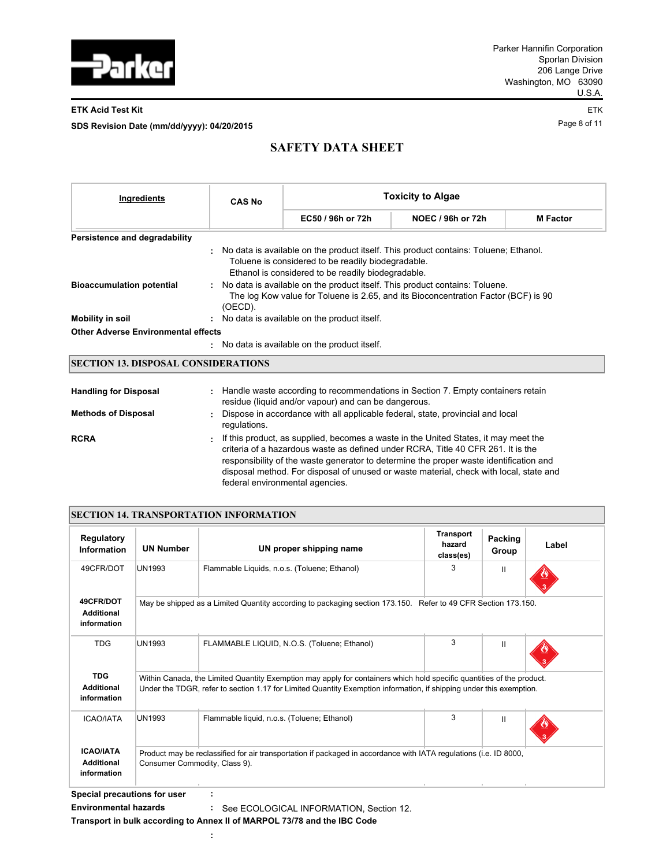

### **ETK Acid Test Kit** ETK

Page 8 of 11 **SDS Revision Date (mm/dd/yyyy): 04/20/2015**

# **SAFETY DATA SHEET**

| Ingredients                                | <b>CAS No</b>                                                                                                                                                                  | <b>Toxicity to Algae</b>                                                                                 |                                                                                        |                 |  |  |  |
|--------------------------------------------|--------------------------------------------------------------------------------------------------------------------------------------------------------------------------------|----------------------------------------------------------------------------------------------------------|----------------------------------------------------------------------------------------|-----------------|--|--|--|
|                                            |                                                                                                                                                                                | EC50 / 96h or 72h                                                                                        | <b>NOEC / 96h or 72h</b>                                                               | <b>M</b> Factor |  |  |  |
| Persistence and degradability              |                                                                                                                                                                                |                                                                                                          |                                                                                        |                 |  |  |  |
|                                            |                                                                                                                                                                                | Toluene is considered to be readily biodegradable.<br>Ethanol is considered to be readily biodegradable. | . No data is available on the product itself. This product contains: Toluene; Ethanol. |                 |  |  |  |
| <b>Bioaccumulation potential</b>           | : No data is available on the product itself. This product contains: Toluene.<br>The log Kow value for Toluene is 2.65, and its Bioconcentration Factor (BCF) is 90<br>(OECD). |                                                                                                          |                                                                                        |                 |  |  |  |
| <b>Mobility in soil</b>                    |                                                                                                                                                                                | : No data is available on the product itself.                                                            |                                                                                        |                 |  |  |  |
| <b>Other Adverse Environmental effects</b> |                                                                                                                                                                                |                                                                                                          |                                                                                        |                 |  |  |  |
|                                            |                                                                                                                                                                                | : No data is available on the product itself.                                                            |                                                                                        |                 |  |  |  |
| <b>SECTION 13. DISPOSAL CONSIDERATIONS</b> |                                                                                                                                                                                |                                                                                                          |                                                                                        |                 |  |  |  |
| <b>Handling for Disposal</b>               |                                                                                                                                                                                |                                                                                                          | : Handle waste according to recommendations in Section 7. Empty containers retain      |                 |  |  |  |
| <b>Methods of Disposal</b>                 | residue (liquid and/or vapour) and can be dangerous.<br>Dispose in accordance with all applicable federal, state, provincial and local<br>regulations.                         |                                                                                                          |                                                                                        |                 |  |  |  |
|                                            |                                                                                                                                                                                |                                                                                                          |                                                                                        |                 |  |  |  |

**RCRA :** If this product, as supplied, becomes a waste in the United States, it may meet the criteria of a hazardous waste as defined under RCRA, Title 40 CFR 261. It is the responsibility of the waste generator to determine the proper waste identification and disposal method. For disposal of unused or waste material, check with local, state and federal environmental agencies.

## **SECTION 14. TRANSPORTATION INFORMATION**

| <b>Regulatory</b><br><b>Information</b>              | <b>UN Number</b>                                                                                                                                                                                                                             | UN proper shipping name                                                                                           | <b>Transport</b><br>hazard<br>class(es) | Packing<br>Group | Label |  |  |  |
|------------------------------------------------------|----------------------------------------------------------------------------------------------------------------------------------------------------------------------------------------------------------------------------------------------|-------------------------------------------------------------------------------------------------------------------|-----------------------------------------|------------------|-------|--|--|--|
| 49CFR/DOT                                            | <b>UN1993</b>                                                                                                                                                                                                                                | Flammable Liquids, n.o.s. (Toluene; Ethanol)                                                                      | 3                                       | Ш                |       |  |  |  |
| 49CFR/DOT<br><b>Additional</b><br>information        |                                                                                                                                                                                                                                              | May be shipped as a Limited Quantity according to packaging section 173.150. Refer to 49 CFR Section 173.150.     |                                         |                  |       |  |  |  |
| <b>TDG</b>                                           | <b>UN1993</b>                                                                                                                                                                                                                                | FLAMMABLE LIQUID, N.O.S. (Toluene; Ethanol)                                                                       | 3                                       | $\mathbf{I}$     |       |  |  |  |
| <b>TDG</b><br><b>Additional</b><br>information       | Within Canada, the Limited Quantity Exemption may apply for containers which hold specific quantities of the product.<br>Under the TDGR, refer to section 1.17 for Limited Quantity Exemption information, if shipping under this exemption. |                                                                                                                   |                                         |                  |       |  |  |  |
| <b>ICAO/IATA</b>                                     | <b>UN1993</b>                                                                                                                                                                                                                                | Flammable liquid, n.o.s. (Toluene; Ethanol)                                                                       | 3                                       | $\mathbf{I}$     |       |  |  |  |
| <b>ICAO/IATA</b><br><b>Additional</b><br>information | Consumer Commodity, Class 9).                                                                                                                                                                                                                | Product may be reclassified for air transportation if packaged in accordance with IATA regulations (i.e. ID 8000, |                                         |                  |       |  |  |  |

**Special precautions for user :**

**Environmental hazards :** See ECOLOGICAL INFORMATION, Section 12. **Transport in bulk according to Annex II of MARPOL 73/78 and the IBC Code**

**:**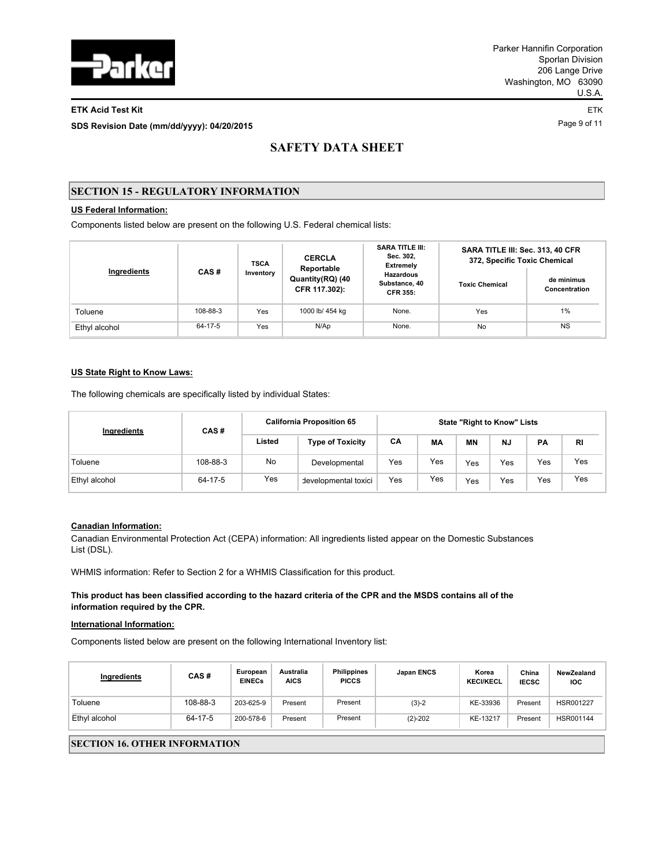

### **ETK Acid Test Kit** ETK

Page 9 of 11 **SDS Revision Date (mm/dd/yyyy): 04/20/2015**

# **SAFETY DATA SHEET**

## **SECTION 15 - REGULATORY INFORMATION**

## **US Federal Information:**

Components listed below are present on the following U.S. Federal chemical lists:

| Ingredients   | CAS#     | <b>TSCA</b><br>Inventory | <b>CERCLA</b><br>Reportable       | <b>SARA TITLE III:</b><br>Sec. 302,<br><b>Extremely</b> | SARA TITLE III: Sec. 313, 40 CFR<br>372, Specific Toxic Chemical |                             |  |
|---------------|----------|--------------------------|-----------------------------------|---------------------------------------------------------|------------------------------------------------------------------|-----------------------------|--|
|               |          |                          | Quantity(RQ) (40<br>CFR 117.302): | <b>Hazardous</b><br>Substance, 40<br><b>CFR 355:</b>    | <b>Toxic Chemical</b>                                            | de minimus<br>Concentration |  |
| Toluene       | 108-88-3 | Yes                      | 1000 lb/ 454 kg                   | None.                                                   | Yes                                                              | 1%                          |  |
| Ethyl alcohol | 64-17-5  | Yes                      | N/Ap                              | None.                                                   | No                                                               | <b>NS</b>                   |  |

### **US State Right to Know Laws:**

The following chemicals are specifically listed by individual States:

| Ingredients   | CAS#     | <b>California Proposition 65</b> |                         | <b>State "Right to Know" Lists</b> |     |           |           |     |           |
|---------------|----------|----------------------------------|-------------------------|------------------------------------|-----|-----------|-----------|-----|-----------|
|               |          | Listed                           | <b>Type of Toxicity</b> | СA                                 | МA  | <b>MN</b> | <b>NJ</b> | PA  | <b>RI</b> |
| Toluene       | 108-88-3 | No.                              | Developmental           | Yes                                | Yes | Yes       | Yes       | Yes | Yes       |
| Ethyl alcohol | 64-17-5  | Yes                              | developmental toxici    | Yes                                | Yes | Yes       | Yes       | Yes | Yes       |

## **Canadian Information:**

Canadian Environmental Protection Act (CEPA) information: All ingredients listed appear on the Domestic Substances List (DSL).

WHMIS information: Refer to Section 2 for a WHMIS Classification for this product.

**This product has been classified according to the hazard criteria of the CPR and the MSDS contains all of the information required by the CPR.**

#### **International Information:**

Components listed below are present on the following International Inventory list:

| Ingredients   | CAS#     | European<br><b>EINECs</b> | Australia<br><b>AICS</b> | <b>Philippines</b><br><b>PICCS</b> | <b>Japan ENCS</b> | Korea<br><b>KECI/KECL</b> | China<br><b>IECSC</b> | NewZealand<br><b>IOC</b> |
|---------------|----------|---------------------------|--------------------------|------------------------------------|-------------------|---------------------------|-----------------------|--------------------------|
| Toluene       | 108-88-3 | 203-625-9                 | Present                  | Present                            | $(3)-2$           | KE-33936                  | Present               | HSR001227                |
| Ethyl alcohol | 64-17-5  | 200-578-6                 | Present                  | Present                            | $(2)-202$         | KE-13217                  | Present               | HSR001144                |

## **SECTION 16. OTHER INFORMATION**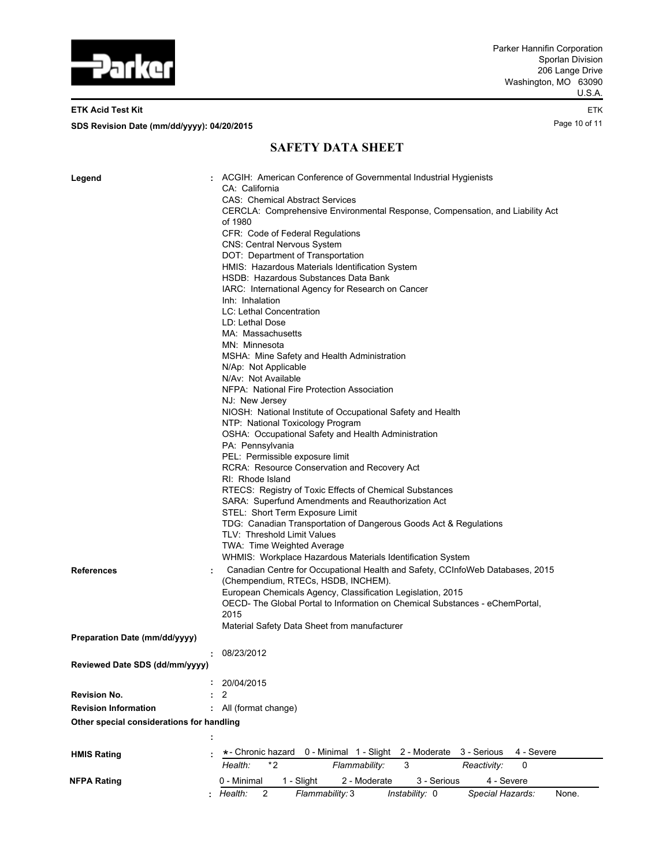

## **ETK Acid Test Kit** ETK

Page 10 of 11 **SDS Revision Date (mm/dd/yyyy): 04/20/2015**

# **SAFETY DATA SHEET**

| Legend                                    |   | ACGIH: American Conference of Governmental Industrial Hygienists                                                     |
|-------------------------------------------|---|----------------------------------------------------------------------------------------------------------------------|
|                                           |   | CA: California                                                                                                       |
|                                           |   | <b>CAS: Chemical Abstract Services</b>                                                                               |
|                                           |   | CERCLA: Comprehensive Environmental Response, Compensation, and Liability Act<br>of 1980                             |
|                                           |   | CFR: Code of Federal Regulations                                                                                     |
|                                           |   | <b>CNS: Central Nervous System</b>                                                                                   |
|                                           |   | DOT: Department of Transportation                                                                                    |
|                                           |   | HMIS: Hazardous Materials Identification System                                                                      |
|                                           |   | HSDB: Hazardous Substances Data Bank                                                                                 |
|                                           |   | IARC: International Agency for Research on Cancer                                                                    |
|                                           |   | Inh: Inhalation                                                                                                      |
|                                           |   | LC: Lethal Concentration                                                                                             |
|                                           |   | LD: Lethal Dose                                                                                                      |
|                                           |   | MA: Massachusetts                                                                                                    |
|                                           |   | MN: Minnesota                                                                                                        |
|                                           |   | MSHA: Mine Safety and Health Administration                                                                          |
|                                           |   | N/Ap: Not Applicable                                                                                                 |
|                                           |   | N/Av: Not Available                                                                                                  |
|                                           |   | NFPA: National Fire Protection Association                                                                           |
|                                           |   | NJ: New Jersey                                                                                                       |
|                                           |   | NIOSH: National Institute of Occupational Safety and Health                                                          |
|                                           |   | NTP: National Toxicology Program                                                                                     |
|                                           |   | OSHA: Occupational Safety and Health Administration                                                                  |
|                                           |   | PA: Pennsylvania                                                                                                     |
|                                           |   | PEL: Permissible exposure limit                                                                                      |
|                                           |   | RCRA: Resource Conservation and Recovery Act                                                                         |
|                                           |   | RI: Rhode Island                                                                                                     |
|                                           |   | RTECS: Registry of Toxic Effects of Chemical Substances                                                              |
|                                           |   | SARA: Superfund Amendments and Reauthorization Act                                                                   |
|                                           |   | STEL: Short Term Exposure Limit                                                                                      |
|                                           |   | TDG: Canadian Transportation of Dangerous Goods Act & Regulations                                                    |
|                                           |   | TLV: Threshold Limit Values                                                                                          |
|                                           |   | TWA: Time Weighted Average                                                                                           |
|                                           |   | WHMIS: Workplace Hazardous Materials Identification System                                                           |
| <b>References</b>                         | ÷ | Canadian Centre for Occupational Health and Safety, CCInfoWeb Databases, 2015<br>(Chempendium, RTECs, HSDB, INCHEM). |
|                                           |   | European Chemicals Agency, Classification Legislation, 2015                                                          |
|                                           |   | OECD-The Global Portal to Information on Chemical Substances - eChemPortal,                                          |
|                                           |   | 2015                                                                                                                 |
|                                           |   | Material Safety Data Sheet from manufacturer                                                                         |
| Preparation Date (mm/dd/yyyy)             |   |                                                                                                                      |
|                                           |   | : 08/23/2012                                                                                                         |
| Reviewed Date SDS (dd/mm/yyyy)            |   |                                                                                                                      |
|                                           |   |                                                                                                                      |
|                                           |   | 20/04/2015                                                                                                           |
| <b>Revision No.</b>                       |   | 2                                                                                                                    |
| <b>Revision Information</b>               |   | All (format change)                                                                                                  |
| Other special considerations for handling |   |                                                                                                                      |
|                                           |   |                                                                                                                      |
|                                           |   |                                                                                                                      |
| <b>HMIS Rating</b>                        |   | *- Chronic hazard<br>0 - Minimal 1 - Slight<br>2 - Moderate<br>3 - Serious<br>4 - Severe                             |
|                                           |   | $*2$<br>Health:<br>Flammability:<br>3<br>Reactivity:<br>0                                                            |
| NFPA Rating                               |   | 0 - Minimal<br>1 - Slight<br>2 - Moderate<br>4 - Severe<br>3 - Serious                                               |
|                                           |   | : Health:<br>Flammability: 3<br>Instability: 0<br>Special Hazards:<br>2<br>None.                                     |
|                                           |   |                                                                                                                      |